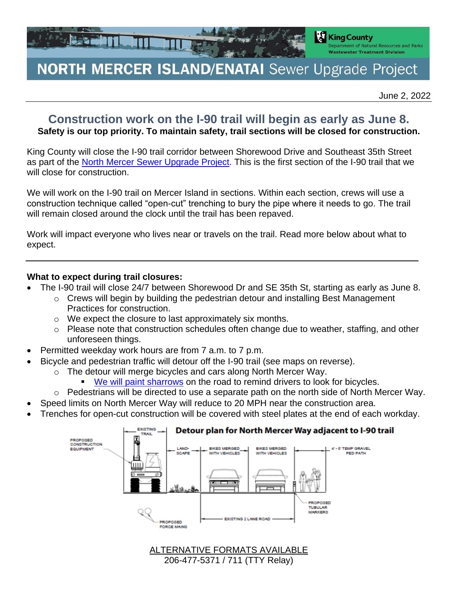

## **NORTH MERCER ISLAND/ENATAI** Sewer Upgrade Project

June 2, 2022

## **Construction work on the I-90 trail will begin as early as June 8. Safety is our top priority. To maintain safety, trail sections will be closed for construction.**

King County will close the I-90 trail corridor between Shorewood Drive and Southeast 35th Street as part of the North Mercer Sewer Upgrade Project. This is the first section of the I-90 trail that we will close for construction.

We will work on the I-90 trail on Mercer Island in sections. Within each section, crews will use a construction technique called "open-cut" trenching to bury the pipe where it needs to go. The trail will remain closed around the clock until the trail has been repaved.

Work will impact everyone who lives near or travels on the trail. Read more below about what to expect.

## **What to expect during trail closures:**

- The I-90 trail will close 24/7 between Shorewood Dr and SE 35th St, starting as early as June 8.
	- $\circ$  Crews will begin by building the pedestrian detour and installing Best Management Practices for construction.
	- o We expect the closure to last approximately six months.
	- o Please note that construction schedules often change due to weather, staffing, and other unforeseen things.
- Permitted weekday work hours are from 7 a.m. to 7 p.m.
- Bicycle and pedestrian traffic will detour off the I-90 trail (see maps on reverse).
	- o The detour will merge bicycles and cars along North Mercer Way.
		- We will paint sharrows on the road to remind drivers to look for bicycles.
	- o Pedestrians will be directed to use a separate path on the north side of North Mercer Way.
- Speed limits on North Mercer Way will reduce to 20 MPH near the construction area.
- Trenches for open-cut construction will be covered with steel plates at the end of each workday.



ALTERNATIVE FORMATS AVAILABLE 206-477-5371 / 711 (TTY Relay)